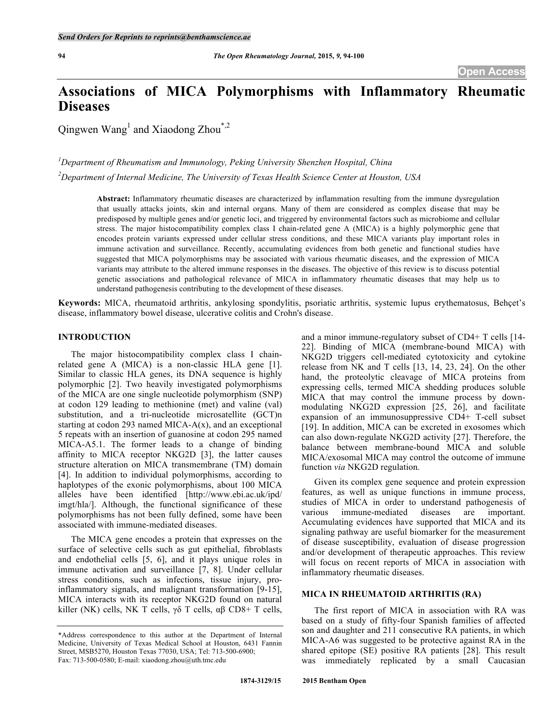# **Associations of MICA Polymorphisms with Inflammatory Rheumatic Diseases**

Qingwen Wang<sup>1</sup> and Xiaodong Zhou<sup>\*,2</sup>

*1 Department of Rheumatism and Immunology, Peking University Shenzhen Hospital, China 2 Department of Internal Medicine, The University of Texas Health Science Center at Houston, USA*

> **Abstract:** Inflammatory rheumatic diseases are characterized by inflammation resulting from the immune dysregulation that usually attacks joints, skin and internal organs. Many of them are considered as complex disease that may be predisposed by multiple genes and/or genetic loci, and triggered by environmental factors such as microbiome and cellular stress. The major histocompatibility complex class I chain-related gene A (MICA) is a highly polymorphic gene that encodes protein variants expressed under cellular stress conditions, and these MICA variants play important roles in immune activation and surveillance. Recently, accumulating evidences from both genetic and functional studies have suggested that MICA polymorphisms may be associated with various rheumatic diseases, and the expression of MICA variants may attribute to the altered immune responses in the diseases. The objective of this review is to discuss potential genetic associations and pathological relevance of MICA in inflammatory rheumatic diseases that may help us to understand pathogenesis contributing to the development of these diseases.

**Keywords:** MICA, rheumatoid arthritis, ankylosing spondylitis, psoriatic arthritis, systemic lupus erythematosus, Behçet's disease, inflammatory bowel disease, ulcerative colitis and Crohn's disease.

# **INTRODUCTION**

The major histocompatibility complex class I chainrelated gene A (MICA) is a non-classic HLA gene [1]. Similar to classic HLA genes, its DNA sequence is highly polymorphic [2]. Two heavily investigated polymorphisms of the MICA are one single nucleotide polymorphism (SNP) at codon 129 leading to methionine (met) and valine (val) substitution, and a tri-nucleotide microsatellite (GCT)n starting at codon 293 named MICA- $A(x)$ , and an exceptional 5 repeats with an insertion of guanosine at codon 295 named MICA-A5.1. The former leads to a change of binding affinity to MICA receptor NKG2D [3], the latter causes structure alteration on MICA transmembrane (TM) domain [4]. In addition to individual polymorphisms, according to haplotypes of the exonic polymorphisms, about 100 MICA alleles have been identified [http://www.ebi.ac.uk/ipd/ imgt/hla/]. Although, the functional significance of these polymorphisms has not been fully defined, some have been associated with immune-mediated diseases.

The MICA gene encodes a protein that expresses on the surface of selective cells such as gut epithelial, fibroblasts and endothelial cells [5, 6], and it plays unique roles in immune activation and surveillance [7, 8]. Under cellular stress conditions, such as infections, tissue injury, proinflammatory signals, and malignant transformation [9-15], MICA interacts with its receptor NKG2D found on natural killer (NK) cells, NK T cells, γδ T cells,  $\alpha\beta$  CD8+ T cells,

and a minor immune-regulatory subset of CD4+ T cells [14- 22]. Binding of MICA (membrane-bound MICA) with NKG2D triggers cell-mediated cytotoxicity and cytokine release from NK and T cells [13, 14, 23, 24]. On the other hand, the proteolytic cleavage of MICA proteins from expressing cells, termed MICA shedding produces soluble MICA that may control the immune process by downmodulating NKG2D expression [25, 26], and facilitate expansion of an immunosuppressive CD4+ T-cell subset [19]. In addition, MICA can be excreted in exosomes which can also down-regulate NKG2D activity [27]. Therefore, the balance between membrane-bound MICA and soluble MICA/exosomal MICA may control the outcome of immune function *via* NKG2D regulation.

Given its complex gene sequence and protein expression features, as well as unique functions in immune process, studies of MICA in order to understand pathogenesis of various immune-mediated diseases are important. Accumulating evidences have supported that MICA and its signaling pathway are useful biomarker for the measurement of disease susceptibility, evaluation of disease progression and/or development of therapeutic approaches. This review will focus on recent reports of MICA in association with inflammatory rheumatic diseases.

# **MICA IN RHEUMATOID ARTHRITIS (RA)**

The first report of MICA in association with RA was based on a study of fifty-four Spanish families of affected son and daughter and 211 consecutive RA patients, in which MICA-A6 was suggested to be protective against RA in the shared epitope (SE) positive RA patients [28]. This result was immediately replicated by a small Caucasian

<sup>\*</sup>Address correspondence to this author at the Department of Internal Medicine, University of Texas Medical School at Houston, 6431 Fannin Street, MSB5270, Houston Texas 77030, USA; Tel: 713-500-6900; Fax: 713-500-0580; E-mail: xiaodong.zhou@uth.tmc.edu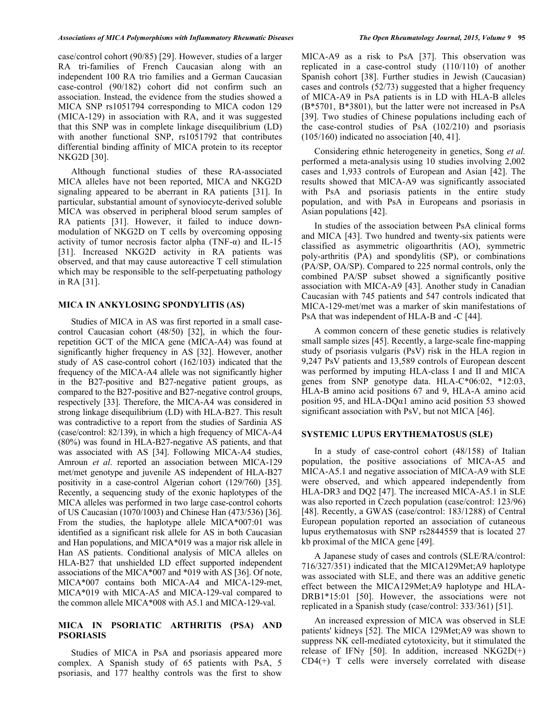case/control cohort (90/85) [29]. However, studies of a larger RA tri-families of French Caucasian along with an independent 100 RA trio families and a German Caucasian case-control (90/182) cohort did not confirm such an association. Instead, the evidence from the studies showed a MICA SNP rs1051794 corresponding to MICA codon 129 (MICA-129) in association with RA, and it was suggested that this SNP was in complete linkage disequilibrium (LD) with another functional SNP, rs1051792 that contributes differential binding affinity of MICA protein to its receptor NKG2D [30].

Although functional studies of these RA-associated MICA alleles have not been reported, MICA and NKG2D signaling appeared to be aberrant in RA patients [31]. In particular, substantial amount of synoviocyte-derived soluble MICA was observed in peripheral blood serum samples of RA patients [31]. However, it failed to induce downmodulation of NKG2D on T cells by overcoming opposing activity of tumor necrosis factor alpha (TNF- $\alpha$ ) and IL-15 [31]. Increased NKG2D activity in RA patients was observed, and that may cause autoreactive T cell stimulation which may be responsible to the self-perpetuating pathology in RA [31].

## **MICA IN ANKYLOSING SPONDYLITIS (AS)**

Studies of MICA in AS was first reported in a small casecontrol Caucasian cohort (48/50) [32], in which the fourrepetition GCT of the MICA gene (MICA-A4) was found at significantly higher frequency in AS [32]. However, another study of AS case-control cohort (162/103) indicated that the frequency of the MICA-A4 allele was not significantly higher in the B27-positive and B27-negative patient groups, as compared to the B27-positive and B27-negative control groups, respectively [33]. Therefore, the MICA-A4 was considered in strong linkage disequilibrium (LD) with HLA-B27. This result was contradictive to a report from the studies of Sardinia AS (case/control: 82/139), in which a high frequency of MICA-A4 (80%) was found in HLA-B27-negative AS patients, and that was associated with AS [34]. Following MICA-A4 studies, Amroun *et al*. reported an association between MICA-129 met/met genotype and juvenile AS independent of HLA-B27 positivity in a case-control Algerian cohort (129/760) [35]. Recently, a sequencing study of the exonic haplotypes of the MICA alleles was performed in two large case-control cohorts of US Caucasian (1070/1003) and Chinese Han (473/536) [36]. From the studies, the haplotype allele MICA\*007:01 was identified as a significant risk allele for AS in both Caucasian and Han populations, and MICA\*019 was a major risk allele in Han AS patients. Conditional analysis of MICA alleles on HLA-B27 that unshielded LD effect supported independent associations of the MICA\*007 and \*019 with AS [36]. Of note, MICA\*007 contains both MICA-A4 and MICA-129-met, MICA\*019 with MICA-A5 and MICA-129-val compared to the common allele MICA\*008 with A5.1 and MICA-129-val.

## **MICA IN PSORIATIC ARTHRITIS (PSA) AND PSORIASIS**

Studies of MICA in PsA and psoriasis appeared more complex. A Spanish study of 65 patients with PsA, 5 psoriasis, and 177 healthy controls was the first to show MICA-A9 as a risk to PsA [37]. This observation was replicated in a case-control study (110/110) of another Spanish cohort [38]. Further studies in Jewish (Caucasian) cases and controls (52/73) suggested that a higher frequency of MICA-A9 in PsA patients is in LD with HLA-B alleles (B\*5701, B\*3801), but the latter were not increased in PsA [39]. Two studies of Chinese populations including each of the case-control studies of PsA (102/210) and psoriasis (105/160) indicated no association [40, 41].

Considering ethnic heterogeneity in genetics, Song *et al.*  performed a meta-analysis using 10 studies involving 2,002 cases and 1,933 controls of European and Asian [42]. The results showed that MICA-A9 was significantly associated with PsA and psoriasis patients in the entire study population, and with PsA in Europeans and psoriasis in Asian populations [42].

In studies of the association between PsA clinical forms and MICA [43]. Two hundred and twenty-six patients were classified as asymmetric oligoarthritis (AO), symmetric poly-arthritis (PA) and spondylitis (SP), or combinations (PA/SP, OA/SP). Compared to 225 normal controls, only the combined PA/SP subset showed a significantly positive association with MICA-A9 [43]. Another study in Canadian Caucasian with 745 patients and 547 controls indicated that MICA-129-met/met was a marker of skin manifestations of PsA that was independent of HLA-B and -C [44].

A common concern of these genetic studies is relatively small sample sizes [45]. Recently, a large-scale fine-mapping study of psoriasis vulgaris (PsV) risk in the HLA region in 9,247 PsV patients and 13,589 controls of European descent was performed by imputing HLA-class I and II and MICA genes from SNP genotype data. HLA-C\*06:02, \*12:03, HLA-B amino acid positions 67 and 9, HLA-A amino acid position 95, and HLA-DQα1 amino acid position 53 showed significant association with PsV, but not MICA [46].

#### **SYSTEMIC LUPUS ERYTHEMATOSUS (SLE)**

In a study of case-control cohort (48/158) of Italian population, the positive associations of MICA-A5 and MICA-A5.1 and negative association of MICA-A9 with SLE were observed, and which appeared independently from HLA-DR3 and DQ2 [47]. The increased MICA-A5.1 in SLE was also reported in Czech population (case/control: 123/96) [48]. Recently, a GWAS (case/control: 183/1288) of Central European population reported an association of cutaneous lupus erythematosus with SNP rs2844559 that is located 27 kb proximal of the MICA gene [49].

A Japanese study of cases and controls (SLE/RA/control: 716/327/351) indicated that the MICA129Met;A9 haplotype was associated with SLE, and there was an additive genetic effect between the MICA129Met;A9 haplotype and HLA-DRB1\*15:01 [50]. However, the associations were not replicated in a Spanish study (case/control: 333/361) [51].

An increased expression of MICA was observed in SLE patients' kidneys [52]. The MICA 129Met;A9 was shown to suppress NK cell-mediated cytotoxicity, but it stimulated the release of IFN $\gamma$  [50]. In addition, increased NKG2D(+) CD4(+) T cells were inversely correlated with disease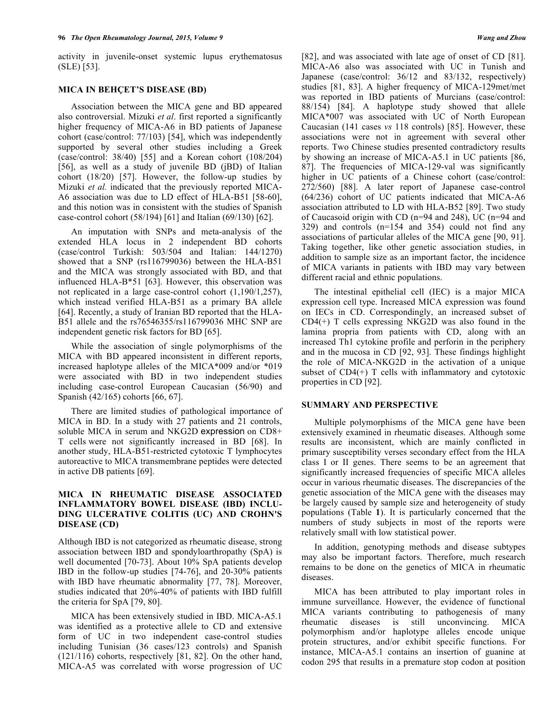activity in juvenile-onset systemic lupus erythematosus (SLE) [53].

# **MICA IN BEHÇET'S DISEASE (BD)**

Association between the MICA gene and BD appeared also controversial. Mizuki *et al*. first reported a significantly higher frequency of MICA-A6 in BD patients of Japanese cohort (case/control: 77/103) [54], which was independently supported by several other studies including a Greek (case/control: 38/40) [55] and a Korean cohort (108/204) [56], as well as a study of juvenile BD (jBD) of Italian cohort (18/20) [57]. However, the follow-up studies by Mizuki *et al.* indicated that the previously reported MICA-A6 association was due to LD effect of HLA-B51 [58-60], and this notion was in consistent with the studies of Spanish case-control cohort (58/194) [61] and Italian (69/130) [62].

An imputation with SNPs and meta-analysis of the extended HLA locus in 2 independent BD cohorts (case/control Turkish: 503/504 and Italian: 144/1270) showed that a SNP (rs116799036) between the HLA-B51 and the MICA was strongly associated with BD, and that influenced HLA-B\*51 [63]. However, this observation was not replicated in a large case-control cohort (1,190/1,257), which instead verified HLA-B51 as a primary BA allele [64]. Recently, a study of Iranian BD reported that the HLA-B51 allele and the rs76546355/rs116799036 MHC SNP are independent genetic risk factors for BD [65].

While the association of single polymorphisms of the MICA with BD appeared inconsistent in different reports, increased haplotype alleles of the MICA\*009 and/or \*019 were associated with BD in two independent studies including case-control European Caucasian (56/90) and Spanish (42/165) cohorts [66, 67].

There are limited studies of pathological importance of MICA in BD. In a study with 27 patients and 21 controls, soluble MICA in serum and NKG2D expression on CD8+ T cells were not significantly increased in BD [68]. In another study, HLA-B51-restricted cytotoxic T lymphocytes autoreactive to MICA transmembrane peptides were detected in active DB patients [69].

## **MICA IN RHEUMATIC DISEASE ASSOCIATED INFLAMMATORY BOWEL DISEASE (IBD) INCLU-DING ULCERATIVE COLITIS (UC) AND CROHN'S DISEASE (CD)**

Although IBD is not categorized as rheumatic disease, strong association between IBD and spondyloarthropathy (SpA) is well documented [70-73]. About 10% SpA patients develop IBD in the follow-up studies [74-76], and 20-30% patients with IBD have rheumatic abnormality [77, 78]. Moreover, studies indicated that 20%-40% of patients with IBD fulfill the criteria for SpA [79, 80].

MICA has been extensively studied in IBD. MICA-A5.1 was identified as a protective allele to CD and extensive form of UC in two independent case-control studies including Tunisian (36 cases/123 controls) and Spanish (121/116) cohorts, respectively [81, 82]. On the other hand, MICA-A5 was correlated with worse progression of UC [82], and was associated with late age of onset of CD [81]. MICA-A6 also was associated with UC in Tunish and Japanese (case/control: 36/12 and 83/132, respectively) studies [81, 83]. A higher frequency of MICA-129met/met was reported in IBD patients of Murcians (case/control: 88/154) [84]. A haplotype study showed that allele MICA\*007 was associated with UC of North European Caucasian (141 cases *vs* 118 controls) [85]. However, these associations were not in agreement with several other reports. Two Chinese studies presented contradictory results by showing an increase of MICA-A5.1 in UC patients [86, 87]. The frequencies of MICA-129-val was significantly higher in UC patients of a Chinese cohort (case/control: 272/560) [88]. A later report of Japanese case-control (64/236) cohort of UC patients indicated that MICA-A6 association attributed to LD with HLA-B52 [89]. Two study of Caucasoid origin with CD (n=94 and 248), UC (n=94 and 329) and controls (n=154 and 354) could not find any associations of particular alleles of the MICA gene [90, 91]. Taking together, like other genetic association studies, in addition to sample size as an important factor, the incidence of MICA variants in patients with IBD may vary between different racial and ethnic populations.

The intestinal epithelial cell (IEC) is a major MICA expression cell type. Increased MICA expression was found on IECs in CD. Correspondingly, an increased subset of  $CD4(+)$  T cells expressing NKG2D was also found in the lamina propria from patients with CD, along with an increased Th1 cytokine profile and perforin in the periphery and in the mucosa in CD [92, 93]. These findings highlight the role of MICA-NKG2D in the activation of a unique subset of  $CD4(+)$  T cells with inflammatory and cytotoxic properties in CD [92].

## **SUMMARY AND PERSPECTIVE**

Multiple polymorphisms of the MICA gene have been extensively examined in rheumatic diseases. Although some results are inconsistent, which are mainly conflicted in primary susceptibility verses secondary effect from the HLA class I or II genes. There seems to be an agreement that significantly increased frequencies of specific MICA alleles occur in various rheumatic diseases. The discrepancies of the genetic association of the MICA gene with the diseases may be largely caused by sample size and heterogeneity of study populations (Table **1**). It is particularly concerned that the numbers of study subjects in most of the reports were relatively small with low statistical power.

In addition, genotyping methods and disease subtypes may also be important factors. Therefore, much research remains to be done on the genetics of MICA in rheumatic diseases.

MICA has been attributed to play important roles in immune surveillance. However, the evidence of functional MICA variants contributing to pathogenesis of many rheumatic diseases is still unconvincing. MICA polymorphism and/or haplotype alleles encode unique protein structures, and/or exhibit specific functions. For instance, MICA-A5.1 contains an insertion of guanine at codon 295 that results in a premature stop codon at position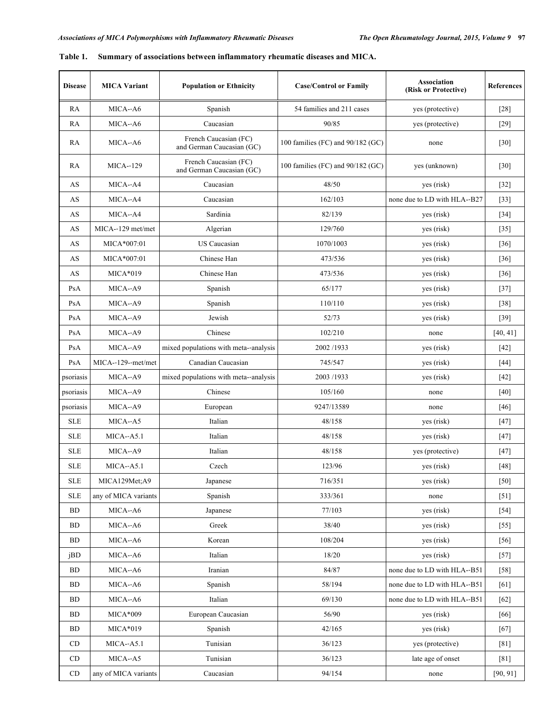| <b>Disease</b>    | <b>MICA Variant</b>  | <b>Population or Ethnicity</b>                     | <b>Case/Control or Family</b>       | <b>Association</b><br>(Risk or Protective) | References |
|-------------------|----------------------|----------------------------------------------------|-------------------------------------|--------------------------------------------|------------|
| RA                | MICA--A6             | Spanish                                            | 54 families and 211 cases           | yes (protective)                           | $[28]$     |
| RA                | MICA--A6             | Caucasian                                          | 90/85                               | yes (protective)                           | $[29]$     |
| RA                | MICA--A6             | French Caucasian (FC)<br>and German Caucasian (GC) | 100 families (FC) and $90/182$ (GC) | none                                       | $[30]$     |
| RA                | <b>MICA--129</b>     | French Caucasian (FC)<br>and German Caucasian (GC) | 100 families (FC) and $90/182$ (GC) | yes (unknown)                              | $[30]$     |
| AS                | MICA--A4             | Caucasian                                          | 48/50                               | yes (risk)                                 | $[32]$     |
| AS                | MICA--A4             | Caucasian                                          | 162/103                             | none due to LD with HLA--B27               | $[33]$     |
| AS                | MICA--A4             | Sardinia                                           | 82/139                              | yes (risk)                                 | $[34]$     |
| AS                | MICA--129 met/met    | Algerian                                           | 129/760                             | yes (risk)                                 | $[35]$     |
| AS                | MICA*007:01          | US Caucasian                                       | 1070/1003                           | yes (risk)                                 | $[36]$     |
| AS                | MICA*007:01          | Chinese Han                                        | 473/536                             | yes (risk)                                 | $[36]$     |
| AS                | $MICA*019$           | Chinese Han                                        | 473/536                             | yes (risk)                                 | $[36]$     |
| PsA               | MICA--A9             | Spanish                                            | 65/177                              | yes (risk)                                 | $[37]$     |
| PsA               | $MICA-A9$            | Spanish                                            | 110/110                             | yes (risk)                                 | $[38]$     |
| PsA               | MICA--A9             | Jewish                                             | 52/73                               | yes (risk)                                 | $[39]$     |
| PsA               | MICA--A9             | Chinese                                            | 102/210                             | none                                       | [40, 41]   |
| PsA               | MICA--A9             | mixed populations with meta--analysis              | 2002/1933                           | yes (risk)                                 | $[42]$     |
| PsA               | MICA--129--met/met   | Canadian Caucasian                                 | 745/547                             | yes (risk)                                 | $[44]$     |
| psoriasis         | MICA--A9             | mixed populations with meta--analysis              | 2003/1933                           | yes (risk)                                 | $[42]$     |
| psoriasis         | MICA--A9             | Chinese                                            | 105/160                             | none                                       | $[40]$     |
| psoriasis         | MICA--A9             | European                                           | 9247/13589                          | none                                       | $[46]$     |
| <b>SLE</b>        | MICA--A5             | Italian                                            | 48/158                              | yes (risk)                                 | $[47]$     |
| <b>SLE</b>        | $MICA-A5.1$          | Italian                                            | 48/158                              | yes (risk)                                 | $[47]$     |
| <b>SLE</b>        | MICA--A9             | Italian                                            | 48/158                              | yes (protective)                           | $[47]$     |
| <b>SLE</b>        | $MICA-A5.1$          | Czech                                              | 123/96                              | yes (risk)                                 | $[48]$     |
| <b>SLE</b>        | MICA129Met;A9        | Japanese                                           | 716/351                             | yes (risk)                                 | $[50]$     |
| <b>SLE</b>        | any of MICA variants | Spanish                                            | 333/361                             | none                                       | $[51]$     |
| <b>BD</b>         | MICA--A6             | Japanese                                           | 77/103                              | yes (risk)                                 | $[54]$     |
| BD                | MICA--A6             | Greek                                              | 38/40                               | yes (risk)                                 | $[55]$     |
| BD                | MICA--A6             | Korean                                             | 108/204                             | yes (risk)                                 | $[56]$     |
| jBD               | MICA--A6             | Italian                                            | 18/20                               | yes (risk)                                 | $[57]$     |
| <b>BD</b>         | MICA--A6             | Iranian                                            | 84/87                               | none due to LD with HLA--B51               | $[58]$     |
| <b>BD</b>         | MICA--A6             | Spanish                                            | 58/194                              | none due to LD with HLA--B51               | [61]       |
| BD                | MICA--A6             | Italian                                            | 69/130                              | none due to LD with HLA--B51               | $[62]$     |
| <b>BD</b>         | $MICA*009$           | European Caucasian                                 | 56/90                               | yes (risk)                                 | $[66]$     |
| BD                | $MICA*019$           | Spanish                                            | 42/165                              | yes (risk)                                 | $[67]$     |
| CD                | $MICA - A5.1$        | Tunisian                                           | 36/123                              | yes (protective)                           | [81]       |
| CD                | MICA--A5             | Tunisian                                           | 36/123                              | late age of onset                          | $[81]$     |
| $\mathop{\rm CD}$ | any of MICA variants | Caucasian                                          | 94/154                              | none                                       | [90, 91]   |

|  | Table 1. Summary of associations between inflammatory rheumatic diseases and MICA. |  |  |  |
|--|------------------------------------------------------------------------------------|--|--|--|
|  |                                                                                    |  |  |  |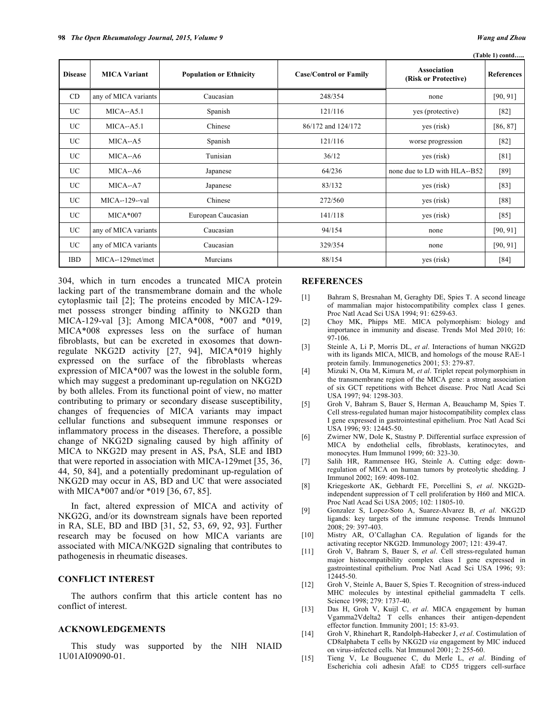|  | Table 1) contd |  |
|--|----------------|--|

| <b>Disease</b> | <b>MICA Variant</b>  | <b>Population or Ethnicity</b> | <b>Case/Control or Family</b> | <b>Association</b><br>(Risk or Protective) | <b>References</b> |
|----------------|----------------------|--------------------------------|-------------------------------|--------------------------------------------|-------------------|
| CD             | any of MICA variants | Caucasian                      | 248/354                       | none                                       | [90, 91]          |
| UC             | $MICA-A5.1$          | Spanish                        | 121/116                       | yes (protective)                           | $[82]$            |
| UC             | $MICA-A5.1$          | Chinese                        | 86/172 and 124/172            | yes (risk)                                 | [86, 87]          |
| UC             | MICA--A5             | Spanish                        | 121/116                       | worse progression                          | $[82]$            |
| UC             | MICA--A6             | Tunisian                       | 36/12                         | yes (risk)                                 | [81]              |
| UC.            | MICA--A6             | Japanese                       | 64/236                        | none due to LD with HLA--B52               | $[89]$            |
| UC             | MICA--A7             | Japanese                       | 83/132                        | yes (risk)                                 | [83]              |
| UC             | MICA--129--val       | Chinese                        | 272/560                       | yes (risk)                                 | [88]              |
| UC             | $MICA*007$           | European Caucasian             | 141/118                       | yes (risk)                                 | $[85]$            |
| UC             | any of MICA variants | Caucasian                      | 94/154                        | none                                       | [90, 91]          |
| UC             | any of MICA variants | Caucasian                      | 329/354                       | none                                       | [90, 91]          |
| IBD            | MICA--129met/met     | Murcians                       | 88/154                        | yes (risk)                                 | [84]              |

304, which in turn encodes a truncated MICA protein lacking part of the transmembrane domain and the whole cytoplasmic tail [2]; The proteins encoded by MICA-129 met possess stronger binding affinity to NKG2D than MICA-129-val [3]; Among MICA\*008, \*007 and \*019, MICA\*008 expresses less on the surface of human fibroblasts, but can be excreted in exosomes that downregulate NKG2D activity [27, 94], MICA\*019 highly expressed on the surface of the fibroblasts whereas expression of MICA\*007 was the lowest in the soluble form, which may suggest a predominant up-regulation on NKG2D by both alleles. From its functional point of view, no matter contributing to primary or secondary disease susceptibility, changes of frequencies of MICA variants may impact cellular functions and subsequent immune responses or inflammatory process in the diseases. Therefore, a possible change of NKG2D signaling caused by high affinity of MICA to NKG2D may present in AS, PsA, SLE and IBD that were reported in association with MICA-129met [35, 36, 44, 50, 84], and a potentially predominant up-regulation of NKG2D may occur in AS, BD and UC that were associated with MICA\*007 and/or \*019 [36, 67, 85].

In fact, altered expression of MICA and activity of NKG2G, and/or its downstream signals have been reported in RA, SLE, BD and IBD [31, 52, 53, 69, 92, 93]. Further research may be focused on how MICA variants are associated with MICA/NKG2D signaling that contributes to pathogenesis in rheumatic diseases.

## **CONFLICT INTEREST**

The authors confirm that this article content has no conflict of interest.

## **ACKNOWLEDGEMENTS**

This study was supported by the NIH NIAID 1U01AI09090-01.

## **REFERENCES**

- [1] Bahram S, Bresnahan M, Geraghty DE, Spies T. A second lineage of mammalian major histocompatibility complex class I genes. Proc Natl Acad Sci USA 1994; 91: 6259-63.
- [2] Choy MK, Phipps ME. MICA polymorphism: biology and importance in immunity and disease. Trends Mol Med 2010; 16: 97-106.
- [3] Steinle A, Li P, Morris DL, *et al*. Interactions of human NKG2D with its ligands MICA, MICB, and homologs of the mouse RAE-1 protein family. Immunogenetics 2001; 53: 279-87.
- [4] Mizuki N, Ota M, Kimura M, *et al*. Triplet repeat polymorphism in the transmembrane region of the MICA gene: a strong association of six GCT repetitions with Behcet disease. Proc Natl Acad Sci USA 1997; 94: 1298-303.
- [5] Groh V, Bahram S, Bauer S, Herman A, Beauchamp M, Spies T. Cell stress-regulated human major histocompatibility complex class I gene expressed in gastrointestinal epithelium. Proc Natl Acad Sci USA 1996; 93: 12445-50.
- [6] Zwirner NW, Dole K, Stastny P. Differential surface expression of MICA by endothelial cells, fibroblasts, keratinocytes, and monocytes. Hum Immunol 1999; 60: 323-30.
- [7] Salih HR, Rammensee HG, Steinle A. Cutting edge: downregulation of MICA on human tumors by proteolytic shedding. J Immunol 2002; 169: 4098-102.
- [8] Kriegeskorte AK, Gebhardt FE, Porcellini S, *et al*. NKG2Dindependent suppression of T cell proliferation by H60 and MICA. Proc Natl Acad Sci USA 2005; 102: 11805-10.
- [9] Gonzalez S, Lopez-Soto A, Suarez-Alvarez B, *et al*. NKG2D ligands: key targets of the immune response. Trends Immunol 2008; 29: 397-403.
- [10] Mistry AR, O'Callaghan CA. Regulation of ligands for the activating receptor NKG2D. Immunology 2007; 121: 439-47.
- [11] Groh V, Bahram S, Bauer S, *et al*. Cell stress-regulated human major histocompatibility complex class I gene expressed in gastrointestinal epithelium. Proc Natl Acad Sci USA 1996; 93: 12445-50.
- [12] Groh V, Steinle A, Bauer S, Spies T. Recognition of stress-induced MHC molecules by intestinal epithelial gammadelta T cells. Science 1998; 279: 1737-40.
- [13] Das H, Groh V, Kuijl C, *et al*. MICA engagement by human Vgamma2Vdelta2 T cells enhances their antigen-dependent effector function. Immunity 2001; 15: 83-93.
- [14] Groh V, Rhinehart R, Randolph-Habecker J, *et al*. Costimulation of CD8alphabeta T cells by NKG2D *via* engagement by MIC induced on virus-infected cells. Nat Immunol 2001; 2: 255-60.
- [15] Tieng V, Le Bouguenec C, du Merle L, *et al*. Binding of Escherichia coli adhesin AfaE to CD55 triggers cell-surface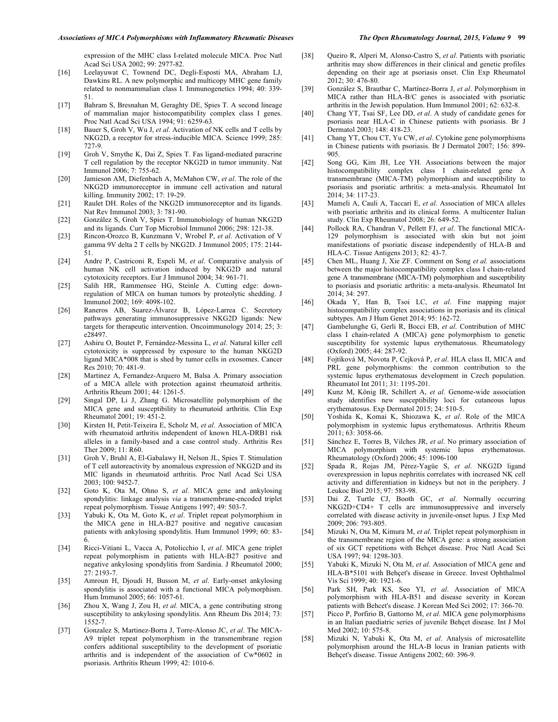expression of the MHC class I-related molecule MICA. Proc Natl Acad Sci USA 2002; 99: 2977-82.

- [16] Leelayuwat C, Townend DC, Degli-Esposti MA, Abraham LJ, Dawkins RL. A new polymorphic and multicopy MHC gene family related to nonmammalian class I. Immunogenetics 1994; 40: 339- 51.
- [17] Bahram S, Bresnahan M, Geraghty DE, Spies T. A second lineage of mammalian major histocompatibility complex class I genes. Proc Natl Acad Sci USA 1994; 91: 6259-63.
- [18] Bauer S, Groh V, Wu J, *et al*. Activation of NK cells and T cells by NKG2D, a receptor for stress-inducible MICA. Science 1999; 285: 727-9.
- [19] Groh V, Smythe K, Dai Z, Spies T. Fas ligand-mediated paracrine T cell regulation by the receptor NKG2D in tumor immunity. Nat Immunol 2006; 7: 755-62.
- [20] Jamieson AM, Diefenbach A, McMahon CW, *et al*. The role of the NKG2D immunoreceptor in immune cell activation and natural killing. Immunity 2002; 17: 19-29.
- [21] Raulet DH. Roles of the NKG2D immunoreceptor and its ligands. Nat Rev Immunol 2003; 3: 781-90.
- [22] González S, Groh V, Spies T. Immunobiology of human NKG2D and its ligands. Curr Top Microbiol Immunol 2006; 298: 121-38.
- [23] Rincon-Orozco B, Kunzmann V, Wrobel P, *et al*. Activation of V gamma 9V delta 2 T cells by NKG2D. J Immunol 2005; 175: 2144- 51.
- [24] Andre P, Castriconi R, Espeli M, *et al*. Comparative analysis of human NK cell activation induced by NKG2D and natural cytotoxicity receptors. Eur J Immunol 2004; 34: 961-71.
- [25] Salih HR, Rammensee HG, Steinle A. Cutting edge: downregulation of MICA on human tumors by proteolytic shedding. J Immunol 2002; 169: 4098-102.
- [26] Raneros AB, Suarez-Álvarez B, López-Larrea C. Secretory pathways generating immunosuppressive NKG2D ligands: New targets for therapeutic intervention. Oncoimmunology 2014; 25; 3: e28497.
- [27] Ashiru O, Boutet P, Fernández-Messina L, *et al*. Natural killer cell cytotoxicity is suppressed by exposure to the human NKG2D ligand MICA\*008 that is shed by tumor cells in exosomes. Cancer Res 2010; 70: 481-9.
- [28] Martinez A, Fernandez-Arquero M, Balsa A. Primary association of a MICA allele with protection against rheumatoid arthritis. Arthritis Rheum 2001; 44: 1261-5.
- [29] Singal DP, Li J, Zhang G. Microsatellite polymorphism of the MICA gene and susceptibility to rheumatoid arthritis. Clin Exp Rheumatol 2001; 19: 451-2.
- [30] Kirsten H, Petit-Teixeira E, Scholz M, *et al*. Association of MICA with rheumatoid arthritis independent of known HLA-DRB1 risk alleles in a family-based and a case control study. Arthritis Res Ther 2009; 11: R60.
- [31] Groh V, Bruhl A, El-Gabalawy H, Nelson JL, Spies T. Stimulation of T cell autoreactivity by anomalous expression of NKG2D and its MIC ligands in rheumatoid arthritis. Proc Natl Acad Sci USA 2003; 100: 9452-7.
- [32] Goto K, Ota M, Ohno S, *et al*. MICA gene and ankylosing spondylitis: linkage analysis *via* a transmembrane-encoded triplet repeat polymorphism. Tissue Antigens 1997; 49: 503-7.
- [33] Yabuki K, Ota M, Goto K, *et al*. Triplet repeat polymorphism in the MICA gene in HLA-B27 positive and negative caucasian patients with ankylosing spondylitis. Hum Immunol 1999; 60: 83- 6.
- [34] Ricci-Vitiani L, Vacca A, Potolicchio I, *et al*. MICA gene triplet repeat polymorphism in patients with HLA-B27 positive and negative ankylosing spondylitis from Sardinia. J Rheumatol 2000; 27: 2193-7.
- [35] Amroun H, Djoudi H, Busson M, *et al*. Early-onset ankylosing spondylitis is associated with a functional MICA polymorphism. Hum Immunol 2005; 66: 1057-61.
- [36] Zhou X, Wang J, Zou H, *et al.* MICA, a gene contributing strong susceptibility to ankylosing spondylitis. Ann Rheum Dis 2014; 73: 1552-7.
- [37] Gonzalez S, Martinez-Borra J, Torre-Alonso JC, *et al*. The MICA-A9 triplet repeat polymorphism in the transmembrane region confers additional susceptibility to the development of psoriatic arthritis and is independent of the association of Cw\*0602 in psoriasis. Arthritis Rheum 1999; 42: 1010-6.
- [38] Queiro R, Alperi M, Alonso-Castro S, *et al*. Patients with psoriatic arthritis may show differences in their clinical and genetic profiles depending on their age at psoriasis onset. Clin Exp Rheumatol 2012; 30: 476-80.
- [39] González S, Brautbar C, Martínez-Borra J, *et al*. Polymorphism in MICA rather than HLA-B/C genes is associated with psoriatic arthritis in the Jewish population. Hum Immunol 2001; 62: 632-8.
- [40] Chang YT, Tsai SF, Lee DD, *et al*. A study of candidate genes for psoriasis near HLA-C in Chinese patients with psoriasis. Br J Dermatol 2003; 148: 418-23.
- [41] Chang YT, Chou CT, Yu CW, *et al*. Cytokine gene polymorphisms in Chinese patients with psoriasis. Br J Dermatol 2007; 156: 899- 905.
- [42] Song GG, Kim JH, Lee YH. Associations between the major histocompatibility complex class I chain-related gene A transmembrane (MICA-TM) polymorphism and susceptibility to psoriasis and psoriatic arthritis: a meta-analysis. Rheumatol Int 2014; 34: 117-23.
- [43] Mameli A, Cauli A, Taccari E, *et al*. Association of MICA alleles with psoriatic arthritis and its clinical forms. A multicenter Italian study. Clin Exp Rheumatol 2008; 26: 649-52.
- [44] Pollock RA, Chandran V, Pellett FJ, *et al*. The functional MICA-129 polymorphism is associated with skin but not joint manifestations of psoriatic disease independently of HLA-B and HLA-C. Tissue Antigens 2013; 82: 43-7.
- [45] Chen ML, Huang J, Xie ZF. Comment on Song *et al.* associations between the major histocompatibility complex class I chain-related gene A transmembrane (MICA-TM) polymorphism and susceptibility to psoriasis and psoriatic arthritis: a meta-analysis. Rheumatol Int 2014; 34: 297.
- [46] Okada Y, Han B, Tsoi LC, *et al*. Fine mapping major histocompatibility complex associations in psoriasis and its clinical subtypes. Am J Hum Genet 2014; 95: 162-72.
- [47] Gambelunghe G, Gerli R, Bocci EB, *et al*. Contribution of MHC class I chain-related A (MICA) gene polymorphism to genetic susceptibility for systemic lupus erythematosus. Rheumatology (Oxford) 2005; 44: 287-92.
- [48] Fojtíková M, Novota P, Cejková P, *et al*. HLA class II, MICA and PRL gene polymorphisms: the common contribution to the systemic lupus erythematosus development in Czech population. Rheumatol Int 2011; 31: 1195-201.
- [49] Kunz M, König IR, Schillert A, *et al*. Genome-wide association study identifies new susceptibility loci for cutaneous lupus erythematosus. Exp Dermatol 2015; 24: 510-5.
- [50] Yoshida K, Komai K, Shiozawa K, *et al*. Role of the MICA polymorphism in systemic lupus erythematosus. Arthritis Rheum 2011; 63: 3058-66.
- [51] Sánchez E, Torres B, Vilches JR, *et al*. No primary association of MICA polymorphism with systemic lupus erythematosus. Rheumatology (Oxford) 2006; 45: 1096-100
- [52] Spada R, Rojas JM, Pérez-Yagüe S, *et al*. NKG2D ligand overexpression in lupus nephritis correlates with increased NK cell activity and differentiation in kidneys but not in the periphery. J Leukoc Biol 2015; 97: 583-98.
- [53] Dai Z, Turtle CJ, Booth GC, *et al*. Normally occurring NKG2D+CD4+ T cells are immunosuppressive and inversely correlated with disease activity in juvenile-onset lupus. J Exp Med 2009; 206: 793-805.
- [54] Mizuki N, Ota M, Kimura M, *et al*. Triplet repeat polymorphism in the transmembrane region of the MICA gene: a strong association of six GCT repetitions with Behçet disease. Proc Natl Acad Sci USA 1997; 94: 1298-303.
- [55] Yabuki K, Mizuki N, Ota M, *et al*. Association of MICA gene and HLA-B\*5101 with Behçet's disease in Greece. Invest Ophthalmol Vis Sci 1999; 40: 1921-6.
- [56] Park SH, Park KS, Seo YI, *et al*. Association of MICA polymorphism with HLA-B51 and disease severity in Korean patients with Behcet's disease. J Korean Med Sci 2002; 17: 366-70.
- [57] Picco P, Porfirio B, Gattorno M, *et al*. MICA gene polymorphisms in an Italian paediatric series of juvenile Behçet disease. Int J Mol Med 2002; 10: 575-8.
- [58] Mizuki N, Yabuki K, Ota M, *et al*. Analysis of microsatellite polymorphism around the HLA-B locus in Iranian patients with Behçet's disease. Tissue Antigens 2002; 60: 396-9.